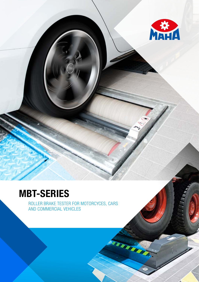

# MBT-SERIES

ROLLER BRAKE TESTER FOR MOTORCYCES, CARS AND COMMERCIAL VEHICLES

TEER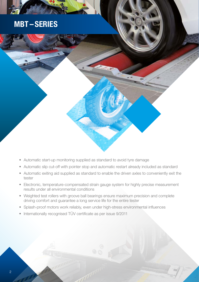### MBT – SERIES

- Automatic start-up monitoring supplied as standard to avoid tyre damage
- Automatic slip cut-off with pointer stop and automatic restart already included as standard
- Automatic exiting aid supplied as standard to enable the driven axles to conveniently exit the tester
- Electronic, temperature-compensated strain gauge system for highly precise measurement results under all environmental conditions
- Weighted test rollers with groove ball bearings ensure maximum precision and complete driving comfort and guarantee a long service life for the entire tester
- Splash-proof motors work reliably, even under high-stress environmental influences
- Internationally recognised TÜV certificate as per issue 9/2011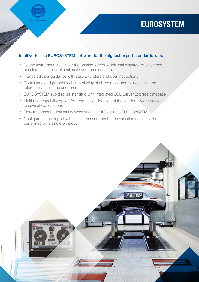### **EUROSYSTEM**

### Intuitive-to-use EUROSYSTEM software for the highest expert standards with:

- Round instrument display for the braking forces. Additional displays for difference, decelerations, and optional scale and force sensors.
- Integrated user guidance with easy-to-understand user instructions

**livestream** 

- Continuous and graphic real-time display of all the measured values using the reference values time and force.
- EUROSYSTEM supplied as standard with integrated SQL Server Express database
- Multi-user capability option for productive allocation of the individual work packages to several workstations.
- Easy to connect additional devices such as MLT 3000 to EUROSYSTEM
- Configurable test report with all the measurement and evaluation results of the tests performed on a single print-out